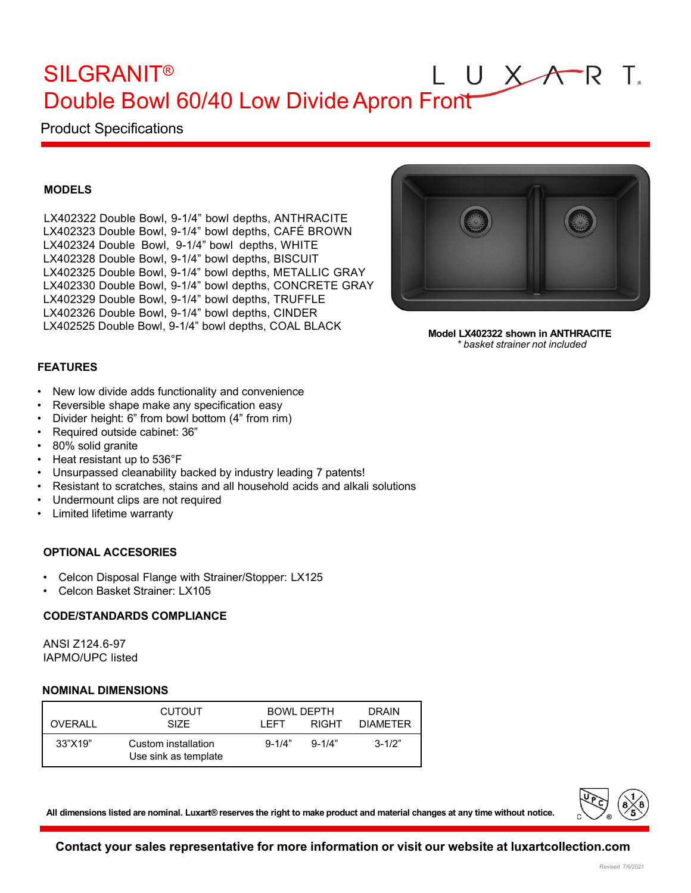## UXAR SILGRANIT®  $\top$ . Double Bowl 60/40 Low DivideApron Front

# Product Specifications

## **MODELS**

LX402322 Double Bowl, 9-1/4" bowl depths, ANTHRACITE LX402323 Double Bowl, 9-1/4" bowl depths, CAFÉ BROWN LX402324 Double Bowl, 9-1/4" bowl depths, WHITE LX402328 Double Bowl, 9-1/4" bowl depths, BISCUIT LX402325 Double Bowl, 9-1/4" bowl depths, METALLIC GRAY LX402330 Double Bowl, 9-1/4" bowl depths, CONCRETE GRAY LX402329 Double Bowl, 9-1/4" bowl depths, TRUFFLE LX402326 Double Bowl, 9-1/4" bowl depths, CINDER LX402525 Double Bowl, 9-1/4" bowl depths, COAL BLACK



**Model LX402322 shown in ANTHRACITE** *\* basket strainer not included*

## **FEATURES**

- New low divide adds functionality and convenience
- Reversible shape make any specification easy
- Divider height: 6" from bowl bottom (4" from rim)
- Required outside cabinet: 36"
- 80% solid granite
- Heat resistant up to 536°F
- Unsurpassed cleanability backed by industry leading 7 patents!
- Resistant to scratches, stains and all household acids and alkali solutions
- Undermount clips are not required
- Limited lifetime warranty

## **OPTIONAL ACCESORIES**

- Celcon Disposal Flange with Strainer/Stopper: LX125
- Celcon Basket Strainer: LX105

#### **CODE/STANDARDS COMPLIANCE**

ANSI Z124.6-97 IAPMO/UPC listed

#### **NOMINAL DIMENSIONS**

| OVERALL | <b>CUTOUT</b><br><b>SIZE</b>                | I FFT.     | <b>BOWL DEPTH</b><br><b>RIGHT</b> | <b>DRAIN</b><br><b>DIAMETER</b> |
|---------|---------------------------------------------|------------|-----------------------------------|---------------------------------|
| 33"X19" | Custom installation<br>Use sink as template | $9 - 1/4"$ | $9 - 1/4"$                        | $3 - 1/2"$                      |

All dimensions listed are nominal. Luxart® reserves the right to make product and material changes at any time without notice.



**Contact your sales representative for more information or visit our website at luxartcollection.com**